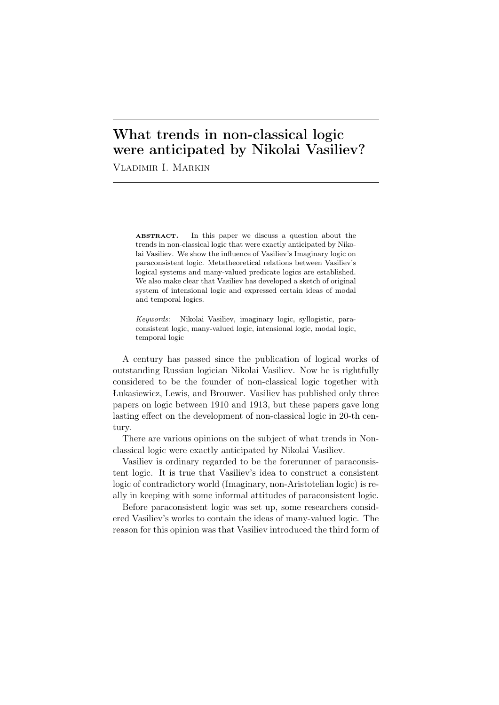# What trends in non-classical logic were anticipated by Nikolai Vasiliev?

Vladimir I. Markin

ABSTRACT. In this paper we discuss a question about the trends in non-classical logic that were exactly anticipated by Nikolai Vasiliev. We show the influence of Vasiliev's Imaginary logic on paraconsistent logic. Metatheoretical relations between Vasiliev's logical systems and many-valued predicate logics are established. We also make clear that Vasiliev has developed a sketch of original system of intensional logic and expressed certain ideas of modal and temporal logics.

*Keywords:* Nikolai Vasiliev, imaginary logic, syllogistic, paraconsistent logic, many-valued logic, intensional logic, modal logic, temporal logic

A century has passed since the publication of logical works of outstanding Russian logician Nikolai Vasiliev. Now he is rightfully considered to be the founder of non-classical logic together with Lukasiewicz, Lewis, and Brouwer. Vasiliev has published only three papers on logic between 1910 and 1913, but these papers gave long lasting effect on the development of non-classical logic in 20-th century.

There are various opinions on the subject of what trends in Nonclassical logic were exactly anticipated by Nikolai Vasiliev.

Vasiliev is ordinary regarded to be the forerunner of paraconsistent logic. It is true that Vasiliev's idea to construct a consistent logic of contradictory world (Imaginary, non-Aristotelian logic) is really in keeping with some informal attitudes of paraconsistent logic.

Before paraconsistent logic was set up, some researchers considered Vasiliev's works to contain the ideas of many-valued logic. The reason for this opinion was that Vasiliev introduced the third form of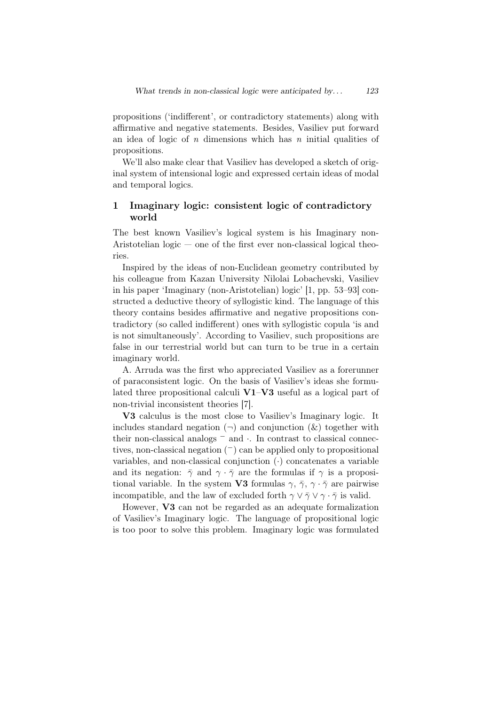propositions ('indifferent', or contradictory statements) along with affirmative and negative statements. Besides, Vasiliev put forward an idea of logic of *n* dimensions which has *n* initial qualities of propositions.

We'll also make clear that Vasiliev has developed a sketch of original system of intensional logic and expressed certain ideas of modal and temporal logics.

## 1 Imaginary logic: consistent logic of contradictory world

The best known Vasiliev's logical system is his Imaginary non-Aristotelian logic — one of the first ever non-classical logical theories.

Inspired by the ideas of non-Euclidean geometry contributed by his colleague from Kazan University Nilolai Lobachevski, Vasiliev in his paper 'Imaginary (non-Aristotelian) logic' [1, pp. 53–93] constructed a deductive theory of syllogistic kind. The language of this theory contains besides affirmative and negative propositions contradictory (so called indifferent) ones with syllogistic copula 'is and is not simultaneously'. According to Vasiliev, such propositions are false in our terrestrial world but can turn to be true in a certain imaginary world.

A. Arruda was the first who appreciated Vasiliev as a forerunner of paraconsistent logic. On the basis of Vasiliev's ideas she formulated three propositional calculi V1–V3 useful as a logical part of non-trivial inconsistent theories [7].

V3 calculus is the most close to Vasiliev's Imaginary logic. It includes standard negation  $(\neg)$  and conjunction  $(k)$  together with their non-classical analogs *<sup>−</sup>* and *·*. In contrast to classical connectives, non-classical negation (*−*) can be applied only to propositional variables, and non-classical conjunction (*·*) concatenates a variable and its negation:  $\bar{\gamma}$  and  $\gamma \cdot \bar{\gamma}$  are the formulas if  $\gamma$  is a propositional variable. In the system **V3** formulas  $\gamma$ ,  $\bar{\gamma}$ ,  $\gamma$  ·  $\bar{\gamma}$  are pairwise incompatible, and the law of excluded forth  $\gamma \vee \gamma \vee \gamma \cdot \gamma$  is valid.

However, V3 can not be regarded as an adequate formalization of Vasiliev's Imaginary logic. The language of propositional logic is too poor to solve this problem. Imaginary logic was formulated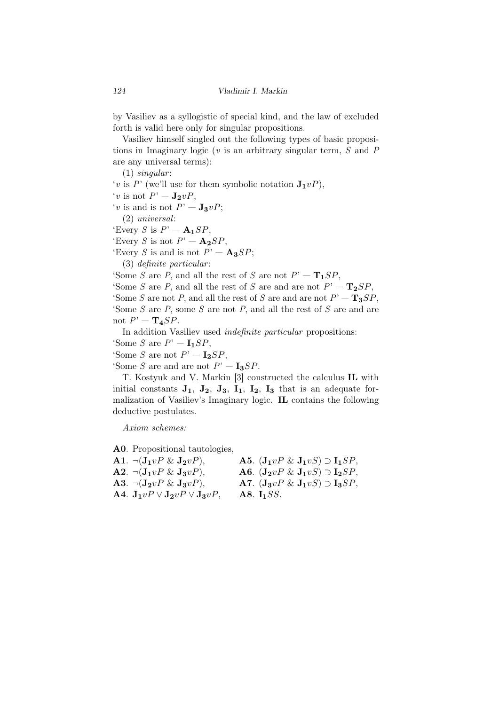by Vasiliev as a syllogistic of special kind, and the law of excluded forth is valid here only for singular propositions.

Vasiliev himself singled out the following types of basic propositions in Imaginary logic (*v* is an arbitrary singular term, *S* and *P* are any universal terms):

(1) *singular* : '*v* is *P*' (we'll use for them symbolic notation  $\mathbf{J}_1 vP$ ),  $'v$  is not  $P' - \mathbf{J_2}vP$ ,  $'v$  is and is not  $P' - \mathbf{J_3}vP$ ; (2) *universal*:

'Every *S* is  $P' - A_1 SP$ ,

'Every *S* is not  $P' - \mathbf{A_2}SP$ ,

'Every *S* is and is not  $P' - \mathbf{A_3}SP$ ;

(3) *definite particular* :

'Some *S* are *P*, and all the rest of *S* are not  $P' - T_1SP$ ,

'Some *S* are *P*, and all the rest of *S* are and are not  $P' - T_2SP$ , 'Some *S* are not *P*, and all the rest of *S* are and are not  $P' - T_3SP$ , 'Some *S* are *P*, some *S* are not *P*, and all the rest of *S* are and are not  $P' - T_4 SP$ .

In addition Vasiliev used *indefinite particular* propositions:

'Some *S* are  $P' - I_1 SP$ ,

'Some *S* are not  $P' - I_2SP$ ,

'Some *S* are and are not  $P' - I_3SP$ .

T. Kostyuk and V. Markin [3] constructed the calculus IL with initial constants  $J_1$ ,  $J_2$ ,  $J_3$ ,  $I_1$ ,  $I_2$ ,  $I_3$  that is an adequate formalization of Vasiliev's Imaginary logic. IL contains the following deductive postulates.

*Axiom schemes:*

A0. Propositional tautologies,

| A1. $\neg(\mathbf{J}_1 v P \& \mathbf{J}_2 v P),$                    | A5. $(\mathbf{J}_1 v P \& \mathbf{J}_1 v S) \supset \mathbf{I}_1 S P$ , |
|----------------------------------------------------------------------|-------------------------------------------------------------------------|
| $\mathbf{A2.} \neg (\mathbf{J_1} v P \& \mathbf{J_3} v P),$          | A6. $(\mathbf{J}_2 v P \& \mathbf{J}_1 v S) \supset \mathbf{I}_2 S P$ , |
| A3. $\neg(\mathbf{J_2}vP \& \mathbf{J_3}vP),$                        | A7. $(\mathbf{J}_3 v P \& \mathbf{J}_1 v S) \supset \mathbf{I}_3 S P$ , |
| A4. $\mathbf{J}_1 v P \vee \mathbf{J}_2 v P \vee \mathbf{J}_3 v P$ , | A8. $I_1SS$ .                                                           |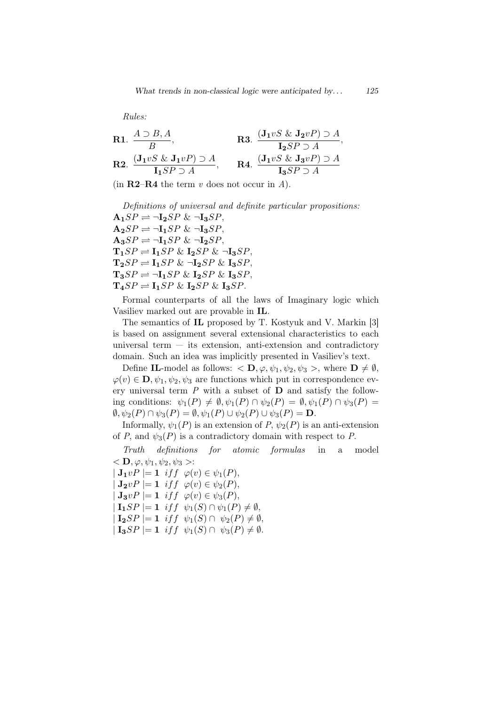*Rules:*

**R1.** 
$$
\frac{A \supset B, A}{B}
$$
,  
\n**R2.**  $\frac{(\mathbf{J}_1 vS \& \mathbf{J}_2 vP) \supset A}{\mathbf{I}_1 SP \supset A}$ ,  
\n**R3.**  $\frac{(\mathbf{J}_1 vS \& \mathbf{J}_2 vP) \supset A}{\mathbf{I}_2 SP \supset A}$ ,  
\n**R4.**  $\frac{(\mathbf{J}_1 vS \& \mathbf{J}_3 vP) \supset A}{\mathbf{I}_3 SP \supset A}$ 

(in R2–R4 the term *v* does not occur in *А*).

*Definitions of universal and definite particular propositions:*  $\mathbf{A}_1 SP \rightleftharpoons \neg \mathbf{I}_2 SP \& \neg \mathbf{I}_3 SP,$  $\mathbf{A_2}SP \rightleftharpoons \neg \mathbf{I_1}SP \& \neg \mathbf{I_3}SP,$  $\mathbf{A}_3 SP \rightleftharpoons \neg \mathbf{I}_1 SP \& \neg \mathbf{I}_2 SP$  $\mathbf{T_1}SP \rightleftharpoons \mathbf{I_1}SP \& \mathbf{I_2}SP \& \neg \mathbf{I_3}SP,$  $\mathbf{T_2}SP \rightleftharpoons \mathbf{I_1}SP \& \neg \mathbf{I_2}SP \& \mathbf{I_3}SP,$  $\mathbf{T_3}SP \rightleftharpoons \neg \mathbf{I_1}SP \& \mathbf{I_2}SP \& \mathbf{I_3}SP,$  $\mathbf{T_4}SP \rightleftharpoons \mathbf{I_1}SP \& \mathbf{I_2}SP \& \mathbf{I_3}SP.$ 

Formal counterparts of all the laws of Imaginary logic which Vasiliev marked out are provable in IL.

The semantics of IL proposed by T. Kostyuk and V. Markin [3] is based on assignment several extensional characteristics to each universal term  $-$  its extension, anti-extension and contradictory domain. Such an idea was implicitly presented in Vasiliev's text.

Define IL-model as follows:  $\langle \mathbf{D}, \varphi, \psi_1, \psi_2, \psi_3 \rangle$ , where  $\mathbf{D} \neq \emptyset$ ,  $\varphi(v) \in \mathbf{D}, \psi_1, \psi_2, \psi_3$  are functions which put in correspondence every universal term *P* with a subset of D and satisfy the following conditions:  $\psi_1(P) \neq \emptyset, \psi_1(P) \cap \psi_2(P) = \emptyset, \psi_1(P) \cap \psi_3(P) =$  $\emptyset, \psi_2(P) \cap \psi_3(P) = \emptyset, \psi_1(P) \cup \psi_2(P) \cup \psi_3(P) = \mathbf{D}.$ 

Informally,  $\psi_1(P)$  is an extension of *P*,  $\psi_2(P)$  is an anti-extension of *P*, and  $\psi_3(P)$  is a contradictory domain with respect to *P*.

*Truth definitions for atomic formulas* in a model  $\langle \mathbf{D}, \varphi, \psi_1, \psi_2, \psi_3 \rangle$ :

 $|\mathbf{J}_1 v P| = \mathbf{1}$  *iff*  $\varphi(v) \in \psi_1(P)$ ,  $J_2vP \mid = 1$  *iff*  $\varphi(v) \in \psi_2(P)$ ,  $\mathbf{J_3} v P$  |= 1 *iff*  $\varphi(v) \in \psi_3(P)$ ,  $\mathbf{I}_1$ *SP*  $|= \mathbf{1}$  *iff*  $\psi_1(S) \cap \psi_1(P) \neq \emptyset$ ,  $|\mathbf{I}_2SP| = \mathbf{1}$  *iff*  $\psi_1(S) \cap \psi_2(P) \neq \emptyset$ ,  $| \mathbf{I}_3SP | = \mathbf{1} \text{ iff } \psi_1(S) \cap \psi_3(P) \neq \emptyset.$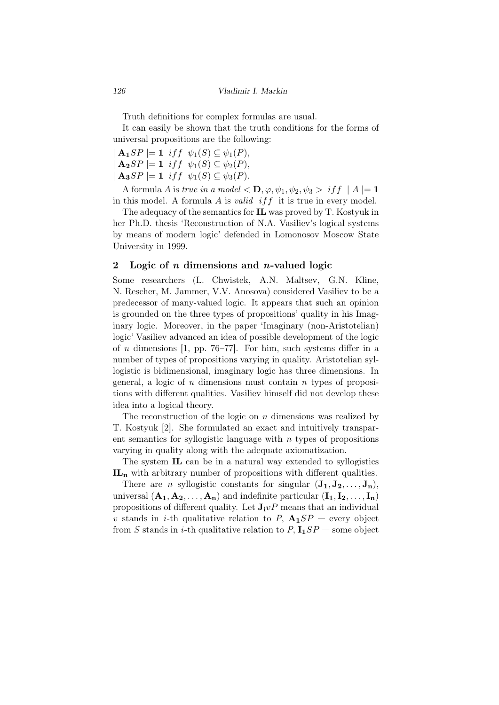Truth definitions for complex formulas are usual.

It can easily be shown that the truth conditions for the forms of universal propositions are the following:

 $\mathbf{A}_1 SP \models 1$  *iff*  $\psi_1(S) \subseteq \psi_1(P)$ ,  $\mathbf{A_2}SP$   $|= \mathbf{1}$  *iff*  $\psi_1(S) \subseteq \psi_2(P),$  $|$  **A**<sub>3</sub>*SP*  $|=$  **1** *iff*  $\psi_1(S) \subseteq \psi_3(P)$ .

A formula *A* is *true in a model*  $\langle \mathbf{D}, \varphi, \psi_1, \psi_2, \psi_3 \rangle$  *iff*  $|A| = 1$ in this model. A formula *A* is *valid iff* it is true in every model.

The adequacy of the semantics for IL was proved by T. Kostyuk in her Ph.D. thesis 'Reconstruction of N.A. Vasiliev's logical systems by means of modern logic' defended in Lomonosov Moscow State University in 1999.

#### 2 Logic of *n* dimensions and *n*-valued logic

Some researchers (L. Chwistek, A.N. Maltsev, G.N. Kline, N. Rescher, M. Jammer, V.V. Anosova) considered Vasiliev to be a predecessor of many-valued logic. It appears that such an opinion is grounded on the three types of propositions' quality in his Imaginary logic. Moreover, in the paper 'Imaginary (non-Aristotelian) logic' Vasiliev advanced an idea of possible development of the logic of *n* dimensions [1, pp. 76–77]. For him, such systems differ in a number of types of propositions varying in quality. Aristotelian syllogistic is bidimensional, imaginary logic has three dimensions. In general, a logic of *n* dimensions must contain *n* types of propositions with different qualities. Vasiliev himself did not develop these idea into a logical theory.

The reconstruction of the logic on *n* dimensions was realized by T. Kostyuk [2]. She formulated an exact and intuitively transparent semantics for syllogistic language with *n* types of propositions varying in quality along with the adequate axiomatization.

The system IL can be in a natural way extended to syllogistics **IL<sup>n</sup>** with arbitrary number of propositions with different qualities.

There are *n* syllogistic constants for singular  $(\mathbf{J}_1, \mathbf{J}_2, \ldots, \mathbf{J}_n)$ , universal  $(A_1, A_2, \ldots, A_n)$  and indefinite particular  $(I_1, I_2, \ldots, I_n)$ propositions of different quality. Let  $\mathbf{J}_i vP$  means that an individual *v* stands in *i*-th qualitative relation to *P*,  $\mathbf{A}_1 SP$  — every object from *S* stands in *i*-th qualitative relation to  $P$ ,  $\mathbf{I_1}SP$  — some object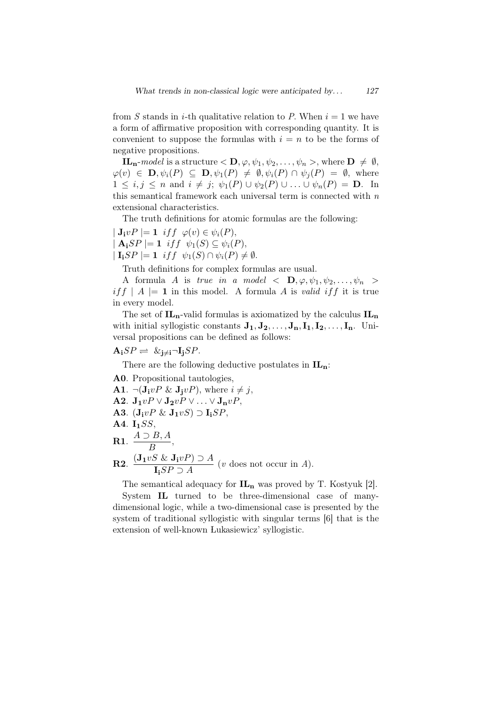from *S* stands in *i*-th qualitative relation to *P*. When  $i = 1$  we have a form of affirmative proposition with corresponding quantity. It is convenient to suppose the formulas with  $i = n$  to be the forms of negative propositions.

**IL**<sub>n</sub>-*model* is a structure  $\langle \mathbf{D}, \varphi, \psi_1, \psi_2, \dots, \psi_n \rangle$ , where  $\mathbf{D} \neq \emptyset$ ,  $\varphi(v) \in \mathbf{D}, \psi_i(P) \subseteq \mathbf{D}, \psi_1(P) \neq \emptyset, \psi_i(P) \cap \psi_i(P) = \emptyset$ , where  $1 \leq i, j \leq n$  and  $i \neq j$ ;  $\psi_1(P) \cup \psi_2(P) \cup \ldots \cup \psi_n(P) = \mathbf{D}$ . In this semantical framework each universal term is connected with *n* extensional characteristics.

The truth definitions for atomic formulas are the following:

 $|\mathbf{J}_i v P| = \mathbf{1}$  *iff*  $\varphi(v) \in \psi_i(P)$ ,  $\mathbf{A}_i$ *SP*  $|= \mathbf{1}$  *iff*  $\psi_1(S) \subseteq \psi_i(P)$ ,  $| \mathbf{I}_i SP | = \mathbf{1} \text{ iff } \psi_1(S) \cap \psi_i(P) \neq \emptyset.$ 

Truth definitions for complex formulas are usual.

A formula *A* is *true in a model*  $\langle$  **D***,*  $\varphi, \psi_1, \psi_2, \dots, \psi_n$  *> if*  $f | A | = 1$  in this model. A formula *A* is *valid if*  $f$  it is true in every model.

The set of **ILn**-valid formulas is axiomatized by the calculus **IL<sup>n</sup>** with initial syllogistic constants  $J_1, J_2, \ldots, J_n, I_1, I_2, \ldots, I_n$ . Universal propositions can be defined as follows:

## $\mathbf{A_i}SP \rightleftharpoons \& \mathbf{j_{\neq i}} \neg \mathbf{I_j}SP.$

There are the following deductive postulates in **ILn**:

A0. Propositional tautologies, A1.  $\neg(\mathbf{J}_\mathbf{i} v P \& \mathbf{J}_\mathbf{i} v P)$ , where  $i \neq j$ ,  $\mathbf{A2}. \mathbf{J}_1 v P \vee \mathbf{J}_2 v P \vee \ldots \vee \mathbf{J}_n v P,$ A3.  $(\mathbf{J}_i v P \& \mathbf{J}_1 v S) \supset \mathbf{I}_i S P$ , A4. **I1***SS*, **R1**.  $\frac{A\supset B, A}{P}$  $\frac{B}{B}$ <sup>11</sup>,  $R2.$   $\frac{(\mathbf{J}_1 v S \& \mathbf{J}_1 v P) \supseteq A}{\mathbf{J}_1 G \mathbf{D} \supseteq \mathbf{A}}$  $\frac{S \propto \mathcal{L}(\mathbf{r})^2 \mathcal{L}(\mathbf{r})}{\mathbf{I}_i SP \supseteq A}$  (*v* does not occur in *A*).

The semantical adequacy for **IL<sup>n</sup>** was proved by T. Kostyuk [2]. System IL turned to be three-dimensional case of manydimensional logic, while a two-dimensional case is presented by the system of traditional syllogistic with singular terms [6] that is the extension of well-known Lukasiewicz' syllogistic.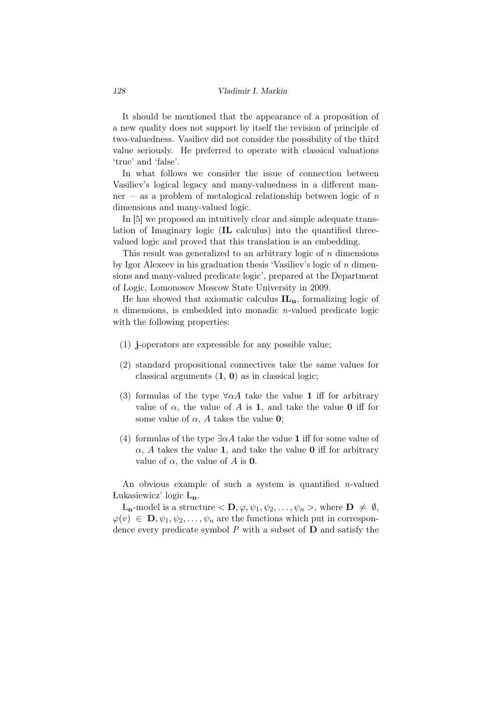It should be mentioned that the appearance of a proposition of a new quality does not support by itself the revision of principle of two-valuedness. Vasiliev did not consider the possibility of the third value seriously. He preferred to operate with classical valuations 'true' and 'false'.

In what follows we consider the issue of connection between Vasiliev's logical legacy and many-valuedness in a different manner — as a problem of metalogical relationship between logic of *n* dimensions and many-valued logic.

In [5] we proposed an intuitively clear and simple adequate translation of Imaginary logic (IL calculus) into the quantified threevalued logic and proved that this translation is an embedding.

This result was generalized to an arbitrary logic of *n* dimensions by Igor Alexeev in his graduation thesis 'Vasiliev's logic of *n* dimensions and many-valued predicate logic', prepared at the Department of Logic, Lomonosov Moscow State University in 2009.

He has showed that axiomatic calculus **ILn**, formalizing logic of *n* dimensions, is embedded into monadic *n*-valued predicate logic with the following properties:

- (1) j-operators are expressible for any possible value;
- (2) standard propositional connectives take the same values for classical arguments  $(1, 0)$  as in classical logic;
- (3) formulas of the type  $\forall \alpha A$  take the value 1 iff for arbitrary value of  $\alpha$ , the value of  $\tilde{A}$  is 1, and take the value 0 iff for some value of  $\alpha$ ,  $A$  takes the value 0;
- (4) formulas of the type  $\exists \alpha A$  take the value 1 iff for some value of  $\alpha$ , *A* takes the value 1, and take the value 0 iff for arbitrary value of  $\alpha$ , the value of  $A$  is 0.

An obvious example of such a system is quantified *n*-valued Lukasiewicz' logic L**n**.

 $L_n$ -model is a structure  $\langle \mathbf{D}, \varphi, \psi_1, \psi_2, \dots, \psi_n \rangle$ , where  $\mathbf{D} \neq \emptyset$ ,  $\varphi(v) \in \mathbf{D}, \psi_1, \psi_2, \dots, \psi_n$  are the functions which put in correspondence every predicate symbol *P* with a subset of D and satisfy the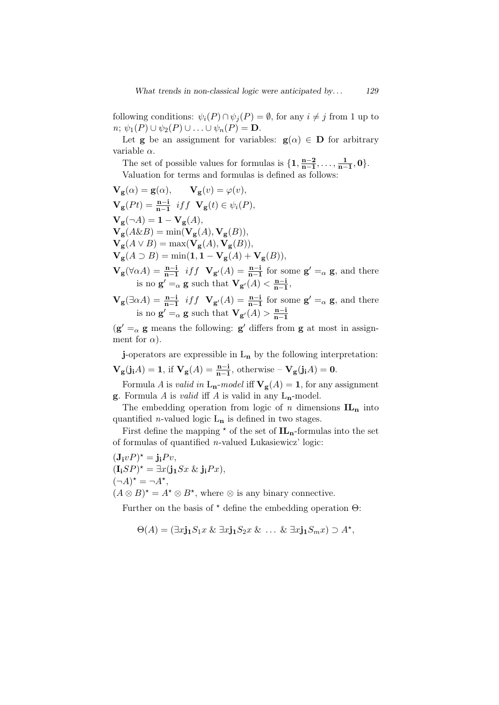following conditions:  $\psi_i(P) \cap \psi_j(P) = \emptyset$ , for any  $i \neq j$  from 1 up to  $n; \psi_1(P) \cup \psi_2(P) \cup \ldots \cup \psi_n(P) = \mathbf{D}.$ 

Let **g** be an assignment for variables:  $\mathbf{g}(\alpha) \in \mathbf{D}$  for arbitrary variable *α*.

The set of possible values for formulas is  $\{1, \frac{n-2}{n-1}\}$  $\frac{n-2}{n-1}, \ldots, \frac{1}{n-1}$ **n***−***1** *,* **0***}*. Valuation for terms and formulas is defined as follows:

$$
\mathbf{V}_{\mathbf{g}}(\alpha) = \mathbf{g}(\alpha), \qquad \mathbf{V}_{\mathbf{g}}(v) = \varphi(v),
$$
\n
$$
\mathbf{V}_{\mathbf{g}}(Pt) = \frac{\mathbf{n}-\mathbf{i}}{\mathbf{n}-\mathbf{1}} \quad \text{if } f \quad \mathbf{V}_{\mathbf{g}}(t) \in \psi_i(P),
$$
\n
$$
\mathbf{V}_{\mathbf{g}}(\neg A) = \mathbf{1} - \mathbf{V}_{\mathbf{g}}(A),
$$
\n
$$
\mathbf{V}_{\mathbf{g}}(A \& B) = \min(\mathbf{V}_{\mathbf{g}}(A), \mathbf{V}_{\mathbf{g}}(B)),
$$
\n
$$
\mathbf{V}_{\mathbf{g}}(A \lor B) = \max(\mathbf{V}_{\mathbf{g}}(A), \mathbf{V}_{\mathbf{g}}(B)),
$$
\n
$$
\mathbf{V}_{\mathbf{g}}(A \supset B) = \min(\mathbf{1}, \mathbf{1} - \mathbf{V}_{\mathbf{g}}(A) + \mathbf{V}_{\mathbf{g}}(B)),
$$
\n
$$
\mathbf{V}_{\mathbf{g}}(\forall \alpha A) = \frac{\mathbf{n}-\mathbf{i}}{\mathbf{n}-\mathbf{i}} \quad \text{if } f \quad \mathbf{V}_{\mathbf{g}'}(A) = \frac{\mathbf{n}-\mathbf{i}}{\mathbf{n}-\mathbf{i}} \quad \text{for some } \mathbf{g}' =_{\alpha} \mathbf{g}, \text{ and there}
$$
\n
$$
\text{is no } \mathbf{g}' =_{\alpha} \mathbf{g} \text{ such that } \mathbf{V}_{\mathbf{g}'}(A) < \frac{\mathbf{n}-\mathbf{i}}{\mathbf{n}-\mathbf{i}},
$$
\n
$$
\mathbf{V}_{\mathbf{g}}(\exists \alpha A) = \frac{\mathbf{n}-\mathbf{i}}{\mathbf{n}-\mathbf{i}} \quad \text{if } f \quad \mathbf{V}_{\mathbf{g}'}(A) = \frac{\mathbf{n}-\mathbf{i}}{\mathbf{n}-\mathbf{i}} \quad \text{for some } \mathbf{g}' =_{\alpha} \mathbf{g}, \text{ and there}
$$

is no  $\mathbf{g}' =_{\alpha} \mathbf{g}$  such that  $\mathbf{V}_{\mathbf{g}'}(A) > \frac{\mathbf{n}-\mathbf{i}}{\mathbf{n}-\mathbf{1}}$ **n***−***1**  $(g' =_{\alpha} g$  means the following:  $g'$  differs from g at most in assignment for  $\alpha$ ).

j-operators are expressible in L**<sup>n</sup>** by the following interpretation: **V**<sub>**g**</sub>(**ji**<sub>*A*</sub>) = **1**, if **V**<sub>**g**</sub>(*A*) =  $\frac{n-i}{n-1}$ , otherwise – **V**<sub>**g**</sub>(**j**<sub>**i**</sub>*A*) = **0**.

Formula *A* is *valid in*  $L_n$ -*model* iff  $V_g(A) = 1$ , for any assignment **g**. Formula *A* is *valid* iff *A* is valid in any  $L_n$ -model.

The embedding operation from logic of *n* dimensions  $IL_n$  into quantified *n*-valued logic L**<sup>n</sup>** is defined in two stages.

First define the mapping  $*$  of the set of  $IL_n$ -formulas into the set of formulas of quantified *n*-valued Lukasiewicz' logic:

$$
(\mathbf{J}_{\mathbf{i}} v P)^{\star} = \mathbf{j}_{\mathbf{i}} P v,
$$
  
\n
$$
(\mathbf{I}_{\mathbf{i}} S P)^{\star} = \exists x (\mathbf{j}_{\mathbf{1}} S x \& \mathbf{j}_{\mathbf{i}} P x),
$$
  
\n
$$
(\neg A)^{\star} = \neg A^{\star},
$$
  
\n
$$
(A \otimes B)^{\star} = A^{\star} \otimes B^{\star}, \text{ where } \otimes \text{ is any binary connective.}
$$

Further on the basis of *<sup>⋆</sup>* define the embedding operation Θ:

$$
\Theta(A) = (\exists x \mathbf{j}_1 S_1 x \& \exists x \mathbf{j}_1 S_2 x \& \dots \& \exists x \mathbf{j}_1 S_m x) \supset A^{\star},
$$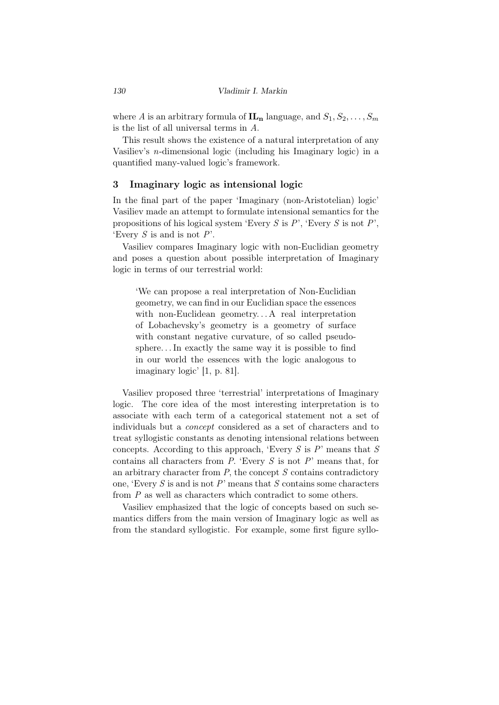where *A* is an arbitrary formula of  $\mathbf{IL_n}$  language, and  $S_1, S_2, \ldots, S_m$ is the list of all universal terms in *A*.

This result shows the existence of a natural interpretation of any Vasiliev's *n*-dimensional logic (including his Imaginary logic) in a quantified many-valued logic's framework.

## 3 Imaginary logic as intensional logic

In the final part of the paper 'Imaginary (non-Aristotelian) logic' Vasiliev made an attempt to formulate intensional semantics for the propositions of his logical system 'Every *S* is *P*', 'Every *S* is not *P*', 'Every *S* is and is not *P*'.

Vasiliev compares Imaginary logic with non-Euclidian geometry and poses a question about possible interpretation of Imaginary logic in terms of our terrestrial world:

'We can propose a real interpretation of Non-Euclidian geometry, we can find in our Euclidian space the essences with non-Euclidean geometry... A real interpretation of Lobachevsky's geometry is a geometry of surface with constant negative curvature, of so called pseudosphere. . . In exactly the same way it is possible to find in our world the essences with the logic analogous to imaginary logic' [1, p. 81].

Vasiliev proposed three 'terrestrial' interpretations of Imaginary logic. The core idea of the most interesting interpretation is to associate with each term of a categorical statement not a set of individuals but a *concept* considered as a set of characters and to treat syllogistic constants as denoting intensional relations between concepts. According to this approach, 'Every *S* is *P*' means that *S* contains all characters from *P*. 'Every *S* is not *P*' means that, for an arbitrary character from *P*, the concept *S* contains contradictory one, 'Every *S* is and is not *P*' means that *S* contains some characters from *P* as well as characters which contradict to some others.

Vasiliev emphasized that the logic of concepts based on such semantics differs from the main version of Imaginary logic as well as from the standard syllogistic. For example, some first figure syllo-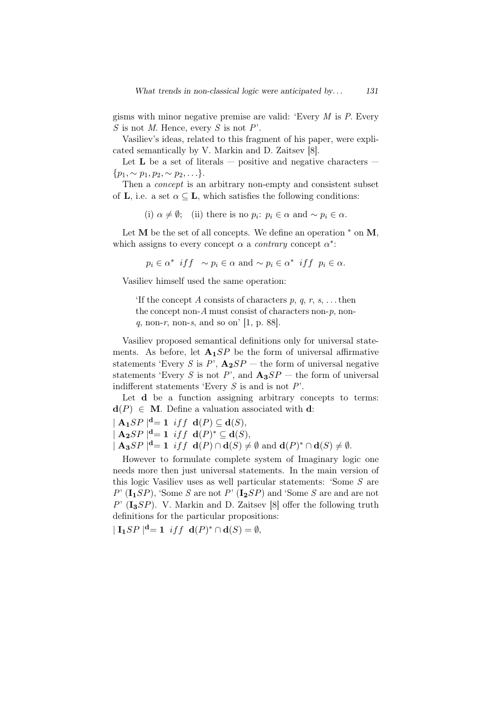gisms with minor negative premise are valid: 'Every *M* is *P*. Every *S* is not *M*. Hence, every *S* is not *P*'.

Vasiliev's ideas, related to this fragment of his paper, were explicated semantically by V. Markin and D. Zaitsev [8].

Let **L** be a set of literals  $-$  positive and negative characters  ${p_1, \sim p_1, p_2, \sim p_2, \ldots}.$ 

Then a *concept* is an arbitrary non-empty and consistent subset of **L**, i.e. a set  $\alpha \subseteq L$ , which satisfies the following conditions:

(i)  $\alpha \neq \emptyset$ ; (ii) there is no  $p_i$ :  $p_i \in \alpha$  and  $\sim p_i \in \alpha$ .

Let M be the set of all concepts. We define an operation *<sup>∗</sup>* on М, which assigns to every concept  $\alpha$  a *contrary* concept  $\alpha^*$ :

$$
p_i \in \alpha^*
$$
 if  $f \sim p_i \in \alpha$  and  $\sim p_i \in \alpha^*$  if  $f \sim p_i \in \alpha$ .

Vasiliev himself used the same operation:

'If the concept *A* consists of characters *p*, *q*, *r*, *s*, . . . then the concept non-*A* must consist of characters non-*p*, non*q*, non-*r*, non-*s*, and so on' [1, p. 88].

Vasiliev proposed semantical definitions only for universal statements. As before, let  $\mathbf{A}_1 SP$  be the form of universal affirmative statements 'Every *S* is *P*',  $\mathbf{A}_2 SP$  — the form of universal negative statements 'Every *S* is not *P*', and  $\mathbf{A}_3 SP$  — the form of universal indifferent statements 'Every *S* is and is not *P*'.

Let **d** be a function assigning arbitrary concepts to terms:  $\mathbf{d}(P) \in \mathbf{M}$ . Define a valuation associated with **d**:

*|* **A**<sub>**1**</sub>*SP*  $|$ **<sup>d</sup>**= **1** *iff* **d**(*P*)  $\subseteq$  **d**(*S*), *|* **A**<sub>2</sub>*SP*  $|$ <sup>**<sup>d</sup> = 1** *iff* **<b>d**(*P*)<sup>\*</sup> ⊆ **d**(*S*),</sup>

 $|$  **A**<sub>3</sub>*SP*  $|$ **<sup>d</sup>**= **1** *iff* **d**(*P*)  $\cap$  **d**(*S*)  $\neq \emptyset$  and **d**(*P*)<sup>\*</sup>  $\cap$  **d**(*S*)  $\neq \emptyset$ .

However to formulate complete system of Imaginary logic one needs more then just universal statements. In the main version of this logic Vasiliev uses as well particular statements: 'Some *S* are  $P'$  ( $\mathbf{I_1}$ *SP*), 'Some *S* are not  $P'$  ( $\mathbf{I_2}$ *SP*) and 'Some *S* are and are not *P*' (**I3***SP*). V. Markin and D. Zaitsev [8] offer the following truth definitions for the particular propositions:

 $| \mathbf{I}_1 SP |^{\mathbf{d}} = \mathbf{1} \text{ iff } \mathbf{d}(P)^* \cap \mathbf{d}(S) = \emptyset,$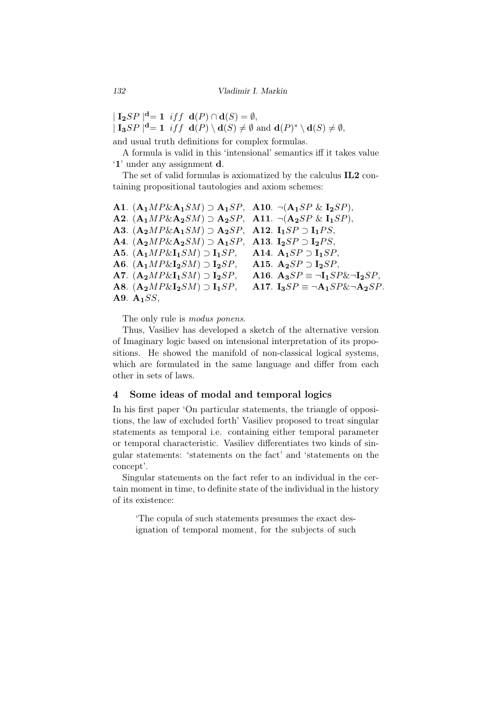$| \mathbf{I_2}SP |^{\mathbf{d}} = \mathbf{1} \text{ iff } \mathbf{d}(P) \cap \mathbf{d}(S) = \emptyset,$  $| \mathbf{I_3}SP \mid^{\mathbf{d}} = \mathbf{1} \text{ iff } \mathbf{d}(P) \setminus \mathbf{d}(S) \neq \emptyset \text{ and } \mathbf{d}(P)^* \setminus \mathbf{d}(S) \neq \emptyset,$ 

and usual truth definitions for complex formulas.

A formula is valid in this 'intensional' semantics iff it takes value '1' under any assignment d.

The set of valid formulas is axiomatized by the calculus IL2 containing propositional tautologies and axiom schemes:

A1. ( ${\bf A}_1 M P \& {\bf A}_1 SM$ ) ⊃  ${\bf A}_1 SP$ , A10.  $\neg({\bf A}_1 SP \& {\bf I}_2 SP)$ , A2.  $(A_1MP\&A_2SM) \supset A_2SP$ , A11.  $\neg(A_2SP \& I_1SP)$ , A3.  $(A_2MP\&A_1SM) \supset A_2SP$ , A12.  $I_1SP \supset I_1PS$ ,  $A_4$ . ( $A_2MP\&A_2SM$ ) ⊃  $A_1SP$ ,  $A_13$ .  $I_2SP$  ⊃  $I_2PS$ , **A5.** (**A**<sub>1</sub>*MP*&**I**<sub>1</sub>*SM*) ⊃ **I**<sub>1</sub>*SP*, **A14. A**<sub>1</sub>*SP* ⊃ **I**<sub>1</sub>*SP*.  $\mathbf{A6}. (\mathbf{A_1} \cdot \mathbf{M} \cdot \mathbf{P} \cdot \mathbf{A_2} \cdot \mathbf{S} \cdot \mathbf{M}) \supset \mathbf{I_2} \cdot \mathbf{S} \cdot \mathbf{P}, \quad \mathbf{A15}. (\mathbf{A_2} \cdot \mathbf{S} \cdot \mathbf{P}) \supset \mathbf{I_2} \cdot \mathbf{S} \cdot \mathbf{P},$ A7. ( ${\bf A}_2 M P \& {\bf I}_1 SM$ ) ⊃  ${\bf I}_2 SP$ , A16.  ${\bf A}_3 SP \equiv \neg {\bf I}_1 SP \& \neg {\bf I}_2 SP$ , A8.  $(A_2MP\&I_2SM) \supset I_1SP$ , A17.  $I_3SP \equiv \neg A_1SP\&\neg A_2SP$ . A9. **A1***SS*,

The only rule is *modus ponens*.

Thus, Vasiliev has developed a sketch of the alternative version of Imaginary logic based on intensional interpretation of its propositions. He showed the manifold of non-classical logical systems, which are formulated in the same language and differ from each other in sets of laws.

## 4 Some ideas of modal and temporal logics

In his first paper 'On particular statements, the triangle of oppositions, the law of excluded forth' Vasiliev proposed to treat singular statements as temporal i.e. containing either temporal parameter or temporal characteristic. Vasiliev differentiates two kinds of singular statements: 'statements on the fact' and 'statements on the concept'.

Singular statements on the fact refer to an individual in the certain moment in time, to definite state of the individual in the history of its existence:

'The copula of such statements presumes the exact designation of temporal moment, for the subjects of such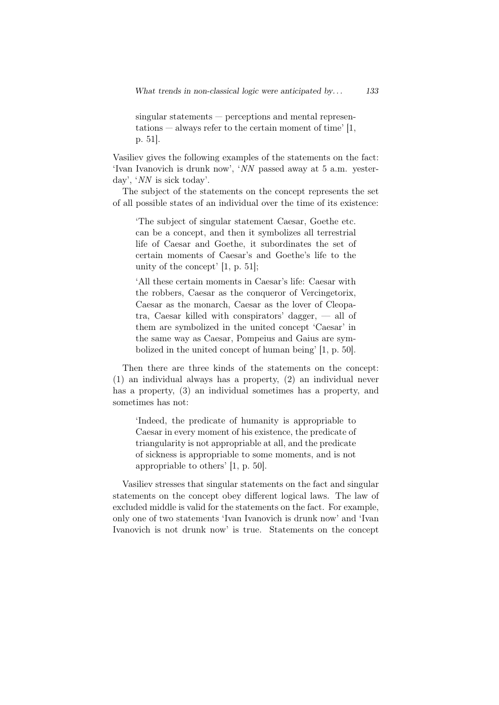singular statements — perceptions and mental representations  $-$  always refer to the certain moment of time' [1, p. 51].

Vasiliev gives the following examples of the statements on the fact: 'Ivan Ivanovich is drunk now', '*NN* passed away at 5 a.m. yesterday', '*NN* is sick today'.

The subject of the statements on the concept represents the set of all possible states of an individual over the time of its existence:

'The subject of singular statement Caesar, Goethe etc. can be a concept, and then it symbolizes all terrestrial life of Caesar and Goethe, it subordinates the set of certain moments of Caesar's and Goethe's life to the unity of the concept' [1, p. 51];

'All these certain moments in Caesar's life: Caesar with the robbers, Caesar as the conqueror of Vercingetorix, Caesar as the monarch, Caesar as the lover of Cleopatra, Caesar killed with conspirators' dagger,  $-$  all of them are symbolized in the united concept 'Caesar' in the same way as Caesar, Pompeius and Gaius are symbolized in the united concept of human being' [1, p. 50].

Then there are three kinds of the statements on the concept: (1) an individual always has a property, (2) an individual never has a property, (3) an individual sometimes has a property, and sometimes has not:

'Indeed, the predicate of humanity is appropriable to Caesar in every moment of his existence, the predicate of triangularity is not appropriable at all, and the predicate of sickness is appropriable to some moments, and is not appropriable to others' [1, p. 50].

Vasiliev stresses that singular statements on the fact and singular statements on the concept obey different logical laws. The law of excluded middle is valid for the statements on the fact. For example, only one of two statements 'Ivan Ivanovich is drunk now' and 'Ivan Ivanovich is not drunk now' is true. Statements on the concept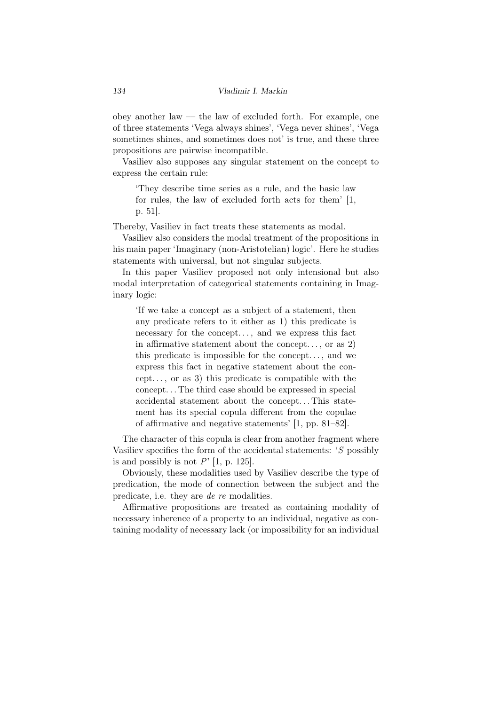obey another law  $-$  the law of excluded forth. For example, one of three statements 'Vega always shines', 'Vega never shines', 'Vega sometimes shines, and sometimes does not' is true, and these three propositions are pairwise incompatible.

Vasiliev also supposes any singular statement on the concept to express the certain rule:

'They describe time series as a rule, and the basic law for rules, the law of excluded forth acts for them' [1, p. 51].

Thereby, Vasiliev in fact treats these statements as modal.

Vasiliev also considers the modal treatment of the propositions in his main paper 'Imaginary (non-Aristotelian) logic'. Here he studies statements with universal, but not singular subjects.

In this paper Vasiliev proposed not only intensional but also modal interpretation of categorical statements containing in Imaginary logic:

'If we take a concept as a subject of a statement, then any predicate refers to it either as 1) this predicate is necessary for the concept..., and we express this fact in affirmative statement about the concept..., or as  $2)$ this predicate is impossible for the concept. . . , and we express this fact in negative statement about the concept..., or as 3) this predicate is compatible with the concept. . . The third case should be expressed in special accidental statement about the concept. . . This statement has its special copula different from the copulae of affirmative and negative statements' [1, pp. 81–82].

The character of this copula is clear from another fragment where Vasiliev specifies the form of the accidental statements: '*S* possibly is and possibly is not  $P'$  [1, p. 125].

Obviously, these modalities used by Vasiliev describe the type of predication, the mode of connection between the subject and the predicate, i.e. they are *de re* modalities.

Affirmative propositions are treated as containing modality of necessary inherence of a property to an individual, negative as containing modality of necessary lack (or impossibility for an individual